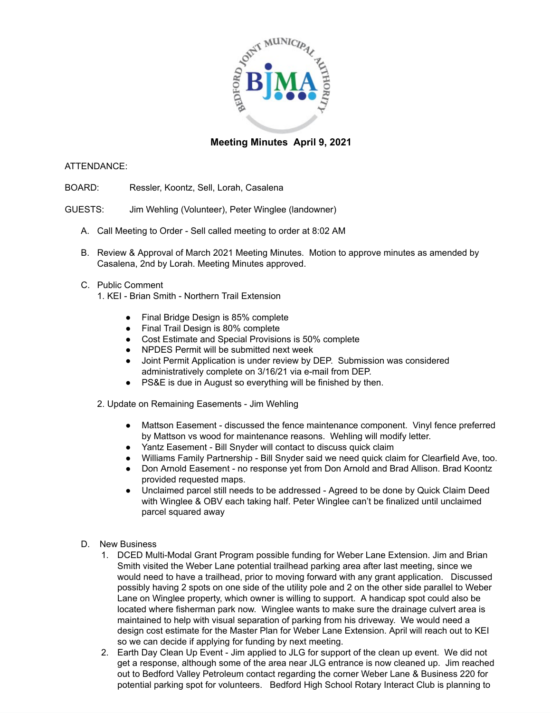

## **Meeting Minutes April 9, 2021**

## ATTENDANCE:

- BOARD: Ressler, Koontz, Sell, Lorah, Casalena
- GUESTS: Jim Wehling (Volunteer), Peter Winglee (landowner)
	- A. Call Meeting to Order Sell called meeting to order at 8:02 AM
	- B. Review & Approval of March 2021 Meeting Minutes. Motion to approve minutes as amended by Casalena, 2nd by Lorah. Meeting Minutes approved.
	- C. Public Comment
		- 1. KEI Brian Smith Northern Trail Extension
			- Final Bridge Design is 85% complete
			- Final Trail Design is 80% complete
			- Cost Estimate and Special Provisions is 50% complete
			- NPDES Permit will be submitted next week
			- Joint Permit Application is under review by DEP. Submission was considered administratively complete on 3/16/21 via e-mail from DEP.
			- PS&E is due in August so everything will be finished by then.
		- 2. Update on Remaining Easements Jim Wehling
			- Mattson Easement discussed the fence maintenance component. Vinyl fence preferred by Mattson vs wood for maintenance reasons. Wehling will modify letter.
			- Yantz Easement Bill Snyder will contact to discuss quick claim
			- Williams Family Partnership Bill Snyder said we need quick claim for Clearfield Ave, too.
			- Don Arnold Easement no response yet from Don Arnold and Brad Allison. Brad Koontz provided requested maps.
			- Unclaimed parcel still needs to be addressed Agreed to be done by Quick Claim Deed with Winglee & OBV each taking half. Peter Winglee can't be finalized until unclaimed parcel squared away
	- D. New Business
		- 1. DCED Multi-Modal Grant Program possible funding for Weber Lane Extension. Jim and Brian Smith visited the Weber Lane potential trailhead parking area after last meeting, since we would need to have a trailhead, prior to moving forward with any grant application. Discussed possibly having 2 spots on one side of the utility pole and 2 on the other side parallel to Weber Lane on Winglee property, which owner is willing to support. A handicap spot could also be located where fisherman park now. Winglee wants to make sure the drainage culvert area is maintained to help with visual separation of parking from his driveway. We would need a design cost estimate for the Master Plan for Weber Lane Extension. April will reach out to KEI so we can decide if applying for funding by next meeting.
		- 2. Earth Day Clean Up Event Jim applied to JLG for support of the clean up event. We did not get a response, although some of the area near JLG entrance is now cleaned up. Jim reached out to Bedford Valley Petroleum contact regarding the corner Weber Lane & Business 220 for potential parking spot for volunteers. Bedford High School Rotary Interact Club is planning to